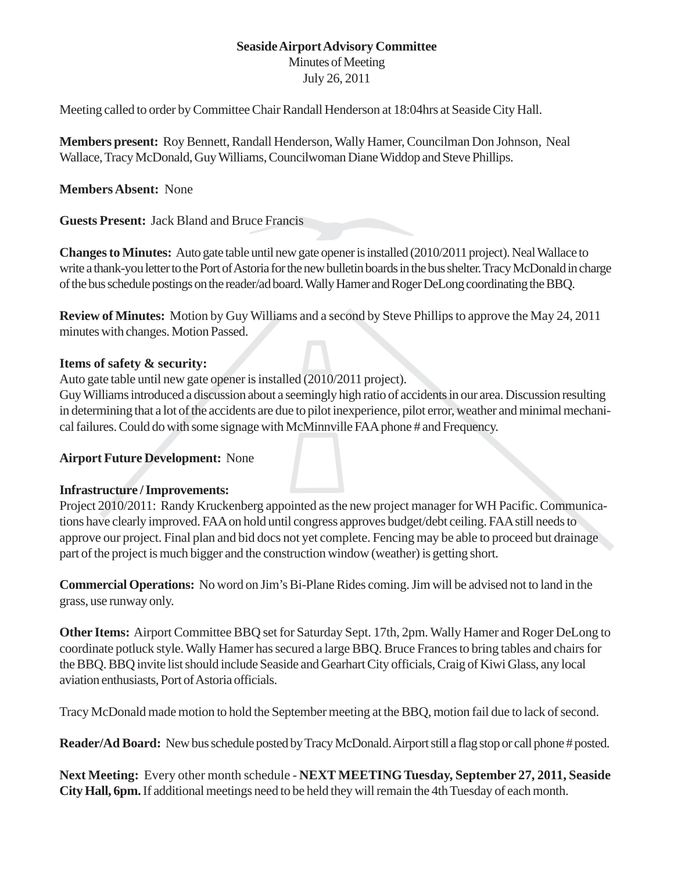#### **Seaside Airport Advisory Committee** Minutes of Meeting

July 26, 2011

Meeting called to order by Committee Chair Randall Henderson at 18:04hrs at Seaside City Hall.

**Members present:** Roy Bennett, Randall Henderson, Wally Hamer, Councilman Don Johnson, Neal Wallace, Tracy McDonald, Guy Williams, Councilwoman Diane Widdop and Steve Phillips.

**Members Absent:** None

**Guests Present:** Jack Bland and Bruce Francis

**Changes to Minutes:** Auto gate table until new gate opener is installed (2010/2011 project). Neal Wallace to write a thank-you letter to the Port of Astoria for the new bulletin boards in the bus shelter. Tracy McDonald in charge of the bus schedule postings on the reader/ad board. Wally Hamer and Roger DeLong coordinating the BBQ.

**Review of Minutes:** Motion by Guy Williams and a second by Steve Phillips to approve the May 24, 2011 minutes with changes. Motion Passed.

#### **Items of safety & security:**

Auto gate table until new gate opener is installed (2010/2011 project).

Guy Williams introduced a discussion about a seemingly high ratio of accidents in our area. Discussion resulting in determining that a lot of the accidents are due to pilot inexperience, pilot error, weather and minimal mechanical failures. Could do with some signage with McMinnville FAA phone # and Frequency.

## **Airport Future Development:** None

## **Infrastructure / Improvements:**

Project 2010/2011: Randy Kruckenberg appointed as the new project manager for WH Pacific. Communications have clearly improved. FAA on hold until congress approves budget/debt ceiling. FAA still needs to approve our project. Final plan and bid docs not yet complete. Fencing may be able to proceed but drainage part of the project is much bigger and the construction window (weather) is getting short.

**Commercial Operations:** No word on Jim's Bi-Plane Rides coming. Jim will be advised not to land in the grass, use runway only.

**Other Items:** Airport Committee BBQ set for Saturday Sept. 17th, 2pm. Wally Hamer and Roger DeLong to coordinate potluck style. Wally Hamer has secured a large BBQ. Bruce Frances to bring tables and chairs for the BBQ. BBQ invite list should include Seaside and Gearhart City officials, Craig of Kiwi Glass, any local aviation enthusiasts, Port of Astoria officials.

Tracy McDonald made motion to hold the September meeting at the BBQ, motion fail due to lack of second.

**Reader/Ad Board:** New bus schedule posted by Tracy McDonald. Airport still a flag stop or call phone # posted.

**Next Meeting:** Every other month schedule - **NEXT MEETING Tuesday, September 27, 2011, Seaside City Hall, 6pm.** If additional meetings need to be held they will remain the 4th Tuesday of each month.